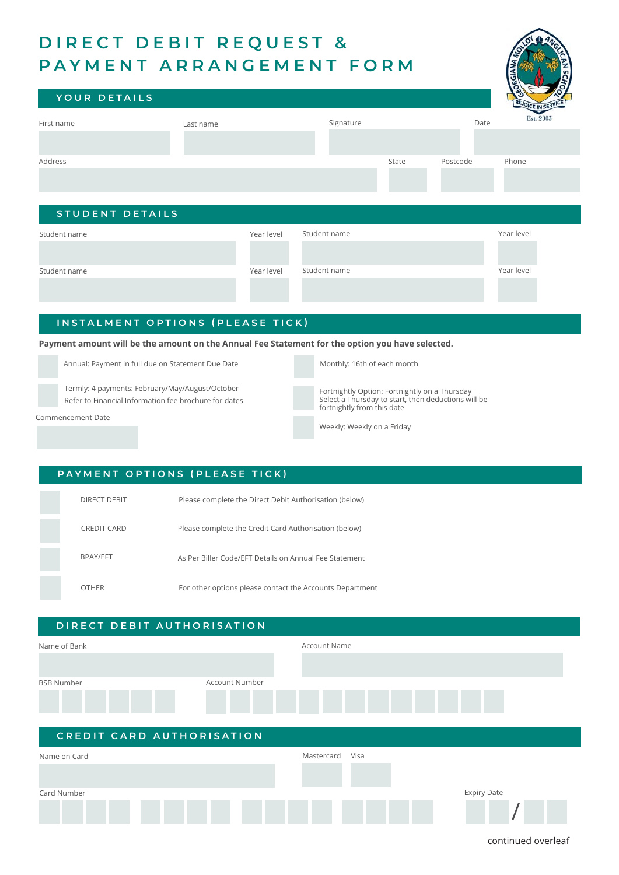# **DIRECT DEBIT REQUEST & PAYMENT ARRANGEMENT FORM**



| YOUR DETAILS           |           |            |              |       |          | v.<br>REJOICE IN SERVE | O. |
|------------------------|-----------|------------|--------------|-------|----------|------------------------|----|
| First name             | Last name |            | Signature    |       | Date     | Est. 2003              |    |
|                        |           |            |              |       |          |                        |    |
| Address                |           |            |              | State | Postcode | Phone                  |    |
|                        |           |            |              |       |          |                        |    |
|                        |           |            |              |       |          |                        |    |
| <b>STUDENT DETAILS</b> |           |            |              |       |          |                        |    |
| Student name           |           | Year level | Student name |       |          | Year level             |    |
|                        |           |            |              |       |          |                        |    |
| Student name           |           | Year level | Student name |       |          | Year level             |    |
|                        |           |            |              |       |          |                        |    |

#### **INSTALMENT OPTIONS (PLEASE TICK)**

**Payment amount will be the amount on the Annual Fee Statement for the option you have selected.** 

Annual: Payment in full due on Statement Due Date

Commencement Date

Termly: 4 payments: February/May/August/October Refer to Financial Information fee brochure for dates Monthly: 16th of each month

Fortnightly Option: Fortnightly on a Thursday Select a Thursday to start, then deductions will be fortnightly from this date

Weekly: Weekly on a Friday

#### DIRECT DEBIT **PAYMENT OPTIONS (PLEASE TICK)** Please complete the Direct Debit Authorisation (below)

| CREDIT CARD     | Please complete the Credit Card Authorisation (below)    |
|-----------------|----------------------------------------------------------|
| <b>BPAY/EFT</b> | As Per Biller Code/EFT Details on Annual Fee Statement   |
| <b>OTHER</b>    | For other options please contact the Accounts Department |

## **DIRECT DEBIT AUTHORISATION** Name of Bank BSB Number Account Number Account Name **CREDIT CARD AUTHORISATION** Name on Card Mastercard Visa



continued overleaf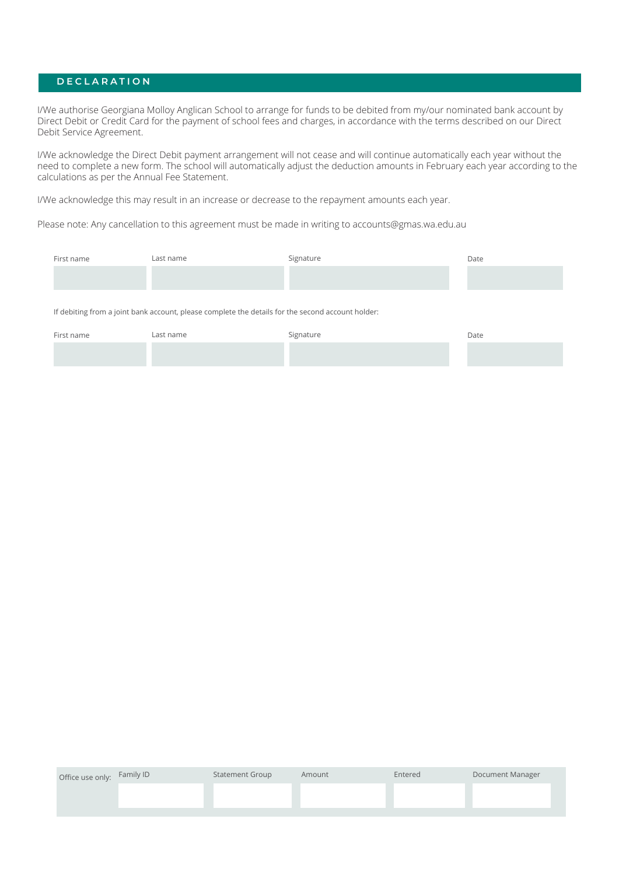### **DECLARATION**

I/We authorise Georgiana Molloy Anglican School to arrange for funds to be debited from my/our nominated bank account by Direct Debit or Credit Card for the payment of school fees and charges, in accordance with the terms described on our Direct Debit Service Agreement.

I/We acknowledge the Direct Debit payment arrangement will not cease and will continue automatically each year without the need to complete a new form. The school will automatically adjust the deduction amounts in February each year according to the calculations as per the Annual Fee Statement.

I/We acknowledge this may result in an increase or decrease to the repayment amounts each year.

Please note: Any cancellation to this agreement must be made in writing to accounts@gmas.wa.edu.au

| First name                                                                                        | Last name | Signature | Date |  |  |
|---------------------------------------------------------------------------------------------------|-----------|-----------|------|--|--|
|                                                                                                   |           |           |      |  |  |
|                                                                                                   |           |           |      |  |  |
| If debiting from a joint bank account, please complete the details for the second account holder: |           |           |      |  |  |
| First name                                                                                        | Last name | Signature | Date |  |  |
|                                                                                                   |           |           |      |  |  |

| Office use only: Family ID | <b>Statement Group</b> | Amount | Entered | Document Manager |
|----------------------------|------------------------|--------|---------|------------------|
|                            |                        |        |         |                  |
|                            |                        |        |         |                  |